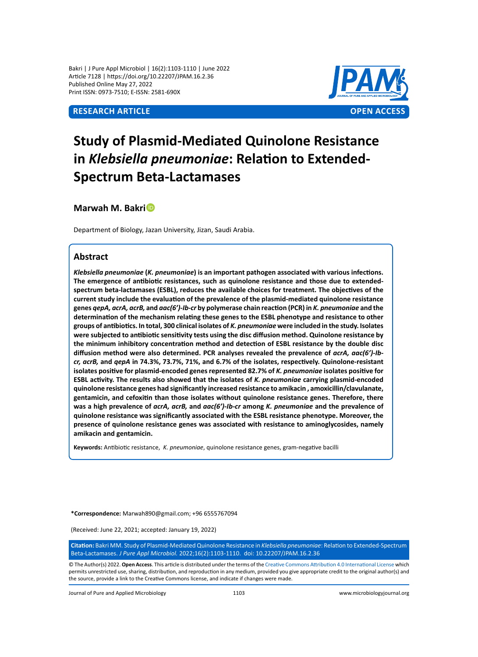Bakri | J Pure Appl Microbiol | 16(2):1103-1110 | June 2022 Article 7128 | https://doi.org/10.22207/JPAM.16.2.36 Published Online May 27, 2022 Print ISSN: 0973-7510; E-ISSN: 2581-690X

# **Research Article OPEN ACCESS**



# **Study of Plasmid-Mediated Quinolone Resistance in** *Klebsiella pneumoniae***: Relation to Extended-Spectrum Beta-Lactamases**

**Marwah M. Bakri**

Department of Biology, Jazan University, Jizan, Saudi Arabia.

# **Abstract**

*Klebsiella pneumoniae* **(***K. pneumoniae***) is an important pathogen associated with various infections. The emergence of antibiotic resistances, such as quinolone resistance and those due to extendedspectrum beta-lactamases (ESBL), reduces the available choices for treatment. The objectives of the current study include the evaluation of the prevalence of the plasmid-mediated quinolone resistance genes** *qepA, acrA, acrB,* **and** *aac(6')-Ib-cr* **by polymerase chain reaction (PCR) in** *K. pneumoniae* **and the determination of the mechanism relating these genes to the ESBL phenotype and resistance to other groups of antibiotics. In total, 300 clinical isolates of** *K. pneumoniae* **were included in the study. Isolates were subjected to antibiotic sensitivity tests using the disc diffusion method. Quinolone resistance by the minimum inhibitory concentration method and detection of ESBL resistance by the double disc**  diffusion method were also determined. PCR analyses revealed the prevalence of  $acrA$ ,  $aac(6')$ -lb*cr, acrB,* **and** *qepA* **in 74.3%, 73.7%, 71%, and 6.7% of the isolates, respectively. Quinolone-resistant isolates positive for plasmid-encoded genes represented 82.7% of** *K. pneumoniae* **isolates positive for ESBL activity. The results also showed that the isolates of** *K. pneumoniae* **carrying plasmid-encoded quinolone resistance genes had significantly increased resistance to amikacin , amoxicillin/clavulanate, gentamicin, and cefoxitin than those isolates without quinolone resistance genes. Therefore, there was a high prevalence of** *acrA, acrB,* **and** *aac(6')-Ib-cr* **among** *K. pneumoniae* **and the prevalence of quinolone resistance was significantly associated with the ESBL resistance phenotype. Moreover, the presence of quinolone resistance genes was associated with resistance to aminoglycosides, namely amikacin and gentamicin.**

**Keywords:** Antibiotic resistance,*K. pneumoniae*, quinolone resistance genes, gram-negative bacilli

**\*Correspondence:** Marwah890@gmail.com; +96 6555767094

(Received: June 22, 2021; accepted: January 19, 2022)

**Citation:** Bakri MM. Study of Plasmid-Mediated Quinolone Resistance in *Klebsiella pneumoniae*: Relation to Extended-Spectrum Beta-Lactamases. *J Pure Appl Microbiol.* 2022;16(2):1103-1110. doi: 10.22207/JPAM.16.2.36

© The Author(s) 2022. **Open Access**. This article is distributed under the terms of the [Creative Commons Attribution 4.0 International License](https://creativecommons.org/licenses/by/4.0/) which permits unrestricted use, sharing, distribution, and reproduction in any medium, provided you give appropriate credit to the original author(s) and the source, provide a link to the Creative Commons license, and indicate if changes were made.

Journal of Pure and Applied Microbiology 1103 www.microbiologyjournal.org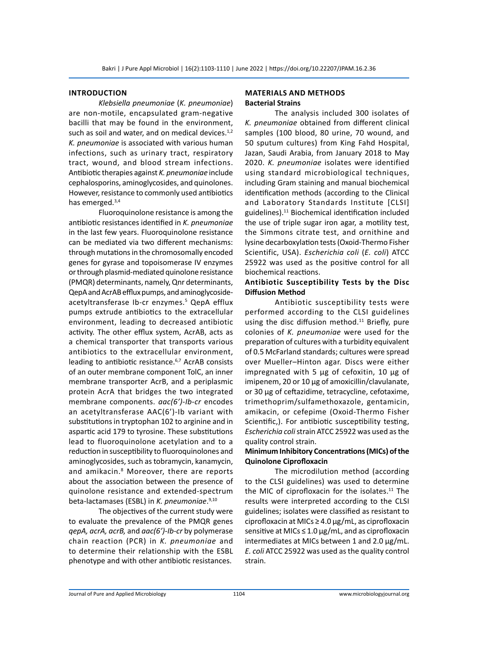#### **Introduction**

*Klebsiella pneumoniae* (*K. pneumoniae*) are non-motile, encapsulated gram-negative bacilli that may be found in the environment, such as soil and water, and on medical devices. $1,2$ *K. pneumoniae* is associated with various human infections, such as urinary tract, respiratory tract, wound, and blood stream infections. Antibiotic therapies against *K. pneumoniae* include cephalosporins, aminoglycosides, and quinolones. However, resistance to commonly used antibiotics has emerged.<sup>3,4</sup>

Fluoroquinolone resistance is among the antibiotic resistances identified in *K. pneumoniae* in the last few years. Fluoroquinolone resistance can be mediated via two different mechanisms: through mutations in the chromosomally encoded genes for gyrase and topoisomerase IV enzymes or through plasmid-mediated quinolone resistance (PMQR) determinants, namely, Qnr determinants, QepA and AcrAB efflux pumps, and aminoglycosideacetyltransferase Ib-cr enzymes.<sup>5</sup> QepA efflux pumps extrude antibiotics to the extracellular environment, leading to decreased antibiotic activity. The other efflux system, AcrAB, acts as a chemical transporter that transports various antibiotics to the extracellular environment, leading to antibiotic resistance.<sup>6,7</sup> AcrAB consists of an outer membrane component TolC, an inner membrane transporter AcrB, and a periplasmic protein AcrA that bridges the two integrated membrane components. *aac(6')-Ib-cr* encodes an acetyltransferase AAC(6')-Ib variant with substitutions in tryptophan 102 to arginine and in aspartic acid 179 to tyrosine. These substitutions lead to fluoroquinolone acetylation and to a reduction in susceptibility to fluoroquinolones and aminoglycosides, such as tobramycin, kanamycin, and amikacin.<sup>8</sup> Moreover, there are reports about the association between the presence of quinolone resistance and extended-spectrum beta-lactamases (ESBL) in *K. pneumoniae*. 9,10

The objectives of the current study were to evaluate the prevalence of the PMQR genes *qepA, acrA, acrB,* and *aac(6')-Ib-cr* by polymerase chain reaction (PCR) in *K. pneumoniae* and to determine their relationship with the ESBL phenotype and with other antibiotic resistances.

# **Materials and Methods Bacterial Strains**

The analysis included 300 isolates of *K. pneumoniae* obtained from different clinical samples (100 blood, 80 urine, 70 wound, and 50 sputum cultures) from King Fahd Hospital, Jazan, Saudi Arabia, from January 2018 to May 2020. *K. pneumoniae* isolates were identified using standard microbiological techniques, including Gram staining and manual biochemical identification methods (according to the Clinical and Laboratory Standards Institute [CLSI] guidelines).<sup>11</sup> Biochemical identification included the use of triple sugar iron agar, a motility test, the Simmons citrate test, and ornithine and lysine decarboxylation tests (Oxoid-Thermo Fisher Scientific, USA). *Escherichia coli* (*E. coli*) ATCC 25922 was used as the positive control for all biochemical reactions.

## **Antibiotic Susceptibility Tests by the Disc Diffusion Method**

Antibiotic susceptibility tests were performed according to the CLSI guidelines using the disc diffusion method. $11$  Briefly, pure colonies of *K. pneumoniae* were used for the preparation of cultures with a turbidity equivalent of 0.5 McFarland standards; cultures were spread over Mueller–Hinton agar. Discs were either impregnated with 5 μg of cefoxitin, 10 μg of imipenem, 20 or 10 μg of amoxicillin/clavulanate, or 30 μg of ceftazidime, tetracycline, cefotaxime, trimethoprim/sulfamethoxazole, gentamicin, amikacin, or cefepime (Oxoid-Thermo Fisher Scientific,). For antibiotic susceptibility testing, *Escherichia coli* strain ATCC 25922 was used as the quality control strain.

# **Minimum Inhibitory Concentrations (MICs) of the Quinolone Ciprofloxacin**

The microdilution method (according to the CLSI guidelines) was used to determine the MIC of ciprofloxacin for the isolates.<sup>11</sup> The results were interpreted according to the CLSI guidelines; isolates were classified as resistant to ciprofloxacin at MICs ≥ 4.0 μg/mL, as ciprofloxacin sensitive at MICs  $\leq 1.0 \,\mu$ g/mL, and as ciprofloxacin intermediates at MICs between 1 and 2.0 μg/mL. *E. coli* ATCC 25922 was used as the quality control strain.

Journal of Pure and Applied Microbiology 1104 www.microbiologyjournal.org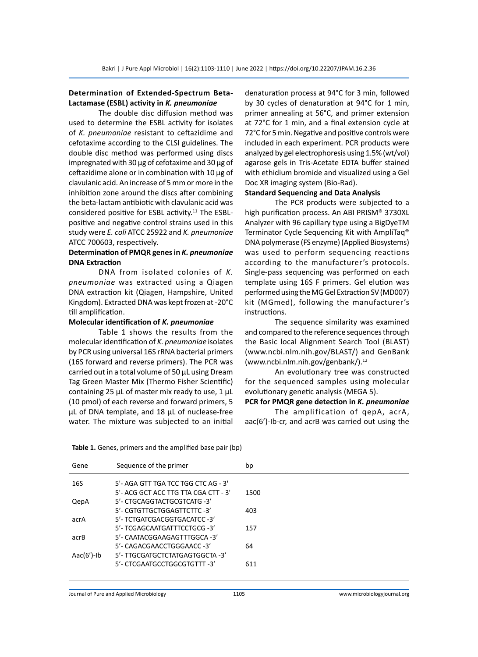# **Determination of Extended-Spectrum Beta-Lactamase (ESBL) activity in** *K. pneumoniae*

The double disc diffusion method was used to determine the ESBL activity for isolates of *K. pneumoniae* resistant to ceftazidime and cefotaxime according to the CLSI guidelines. The double disc method was performed using discs impregnated with 30 μg of cefotaxime and 30 μg of ceftazidime alone or in combination with 10 μg of clavulanic acid. An increase of 5 mm or more in the inhibition zone around the discs after combining the beta-lactam antibiotic with clavulanic acid was considered positive for ESBL activity.<sup>11</sup> The ESBLpositive and negative control strains used in this study were *E. coli* ATCC 25922 and *K. pneumoniae* ATCC 700603, respectively.

## **Determination of PMQR genes in** *K. pneumoniae* **DNA Extraction**

DNA from isolated colonies of *K. pneumoniae* was extracted using a Qiagen DNA extraction kit (Qiagen, Hampshire, United Kingdom). Extracted DNA was kept frozen at -20°C till amplification.

## **Molecular identification of** *K. pneumoniae*

Table 1 shows the results from the molecular identification of *K. pneumoniae* isolates by PCR using universal 16S rRNA bacterial primers (16S forward and reverse primers). The PCR was carried out in a total volume of 50 μL using Dream Tag Green Master Mix (Thermo Fisher Scientific) containing 25 μL of master mix ready to use, 1 μL (10 pmol) of each reverse and forward primers, 5 μL of DNA template, and 18 μL of nuclease-free water. The mixture was subjected to an initial denaturation process at 94°C for 3 min, followed by 30 cycles of denaturation at 94°C for 1 min, primer annealing at 56°C, and primer extension at 72°C for 1 min, and a final extension cycle at 72°C for 5 min. Negative and positive controls were included in each experiment. PCR products were analyzed by gel electrophoresis using 1.5% (wt/vol) agarose gels in Tris-Acetate EDTA buffer stained with ethidium bromide and visualized using a Gel Doc XR imaging system (Bio-Rad).

# **Standard Sequencing and Data Analysis**

The PCR products were subjected to a high purification process. An ABI PRISM® 3730XL Analyzer with 96 capillary type using a BigDyeTM Terminator Cycle Sequencing Kit with AmpliTaq® DNA polymerase (FS enzyme) (Applied Biosystems) was used to perform sequencing reactions according to the manufacturer's protocols. Single-pass sequencing was performed on each template using 16S F primers. Gel elution was performed using the MG Gel Extraction SV (MD007) kit (MGmed), following the manufacturer's instructions.

The sequence similarity was examined and compared to the reference sequences through the Basic local Alignment Search Tool (BLAST) (www.ncbi.nlm.nih.gov/BLAST/) and GenBank (www.ncbi.nlm.nih.gov/genbank/).<sup>12</sup>

An evolutionary tree was constructed for the sequenced samples using molecular evolutionary genetic analysis (MEGA 5).

# **PCR for PMQR gene detection in** *K. pneumoniae*

The amplification of qepA, acrA, aac(6')-Ib-cr, and acrB was carried out using the

| Gene           | Sequence of the primer               | bp   |
|----------------|--------------------------------------|------|
| 16S            | 5'- AGA GTT TGA TCC TGG CTC AG - 3'  |      |
|                | 5'- ACG GCT ACC TTG TTA CGA CTT - 3' | 1500 |
| QepA           | 5'- CTGCAGGTACTGCGTCATG -3'          |      |
|                | 5'- CGTGTTGCTGGAGTTCTTC -3'          | 403  |
| acrA           | 5'- TCTGATCGACGGTGACATCC -3'         |      |
|                | 5'- TCGAGCAATGATTTCCTGCG -3'         | 157  |
| acrB           | 5'- CAATACGGAAGAGTTTGGCA -3'         |      |
|                | 5'- CAGACGAACCTGGGAACC -3'           | 64   |
| Aac $(6')$ -Ib | 5'- TTGCGATGCTCTATGAGTGGCTA -3'      |      |
|                | 5'- CTCGAATGCCTGGCGTGTTT -3'         | 611  |

#### **Table 1.** Genes, primers and the amplified base pair (bp)

Journal of Pure and Applied Microbiology 1105 www.microbiologyjournal.org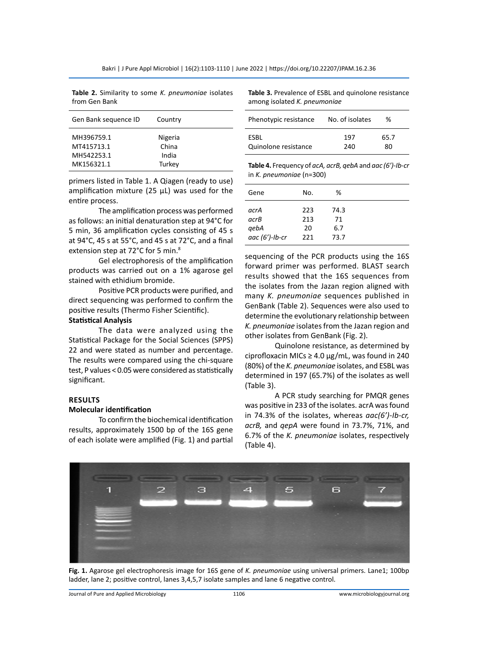**Table 2.** Similarity to some *K. pneumoniae* isolates from Gen Bank

| Gen Bank sequence ID                                 | Country                             |  |
|------------------------------------------------------|-------------------------------------|--|
| MH396759.1<br>MT415713.1<br>MH542253.1<br>MK156321.1 | Nigeria<br>China<br>India<br>Turkey |  |

primers listed in Table 1. A Qiagen (ready to use) amplification mixture (25  $\mu$ L) was used for the entire process.

The amplification process was performed as follows: an initial denaturation step at 94°C for 5 min, 36 amplification cycles consisting of 45 s at 94°C, 45 s at 55°C, and 45 s at 72°C, and a final extension step at 72°C for 5 min.<sup>8</sup>

Gel electrophoresis of the amplification products was carried out on a 1% agarose gel stained with ethidium bromide.

Positive PCR products were purified, and direct sequencing was performed to confirm the positive results (Thermo Fisher Scientific).

## **Statistical Analysis**

The data were analyzed using the Statistical Package for the Social Sciences (SPPS) 22 and were stated as number and percentage. The results were compared using the chi-square test, P values < 0.05 were considered as statistically significant.

## **Results**

#### **Molecular identification**

To confirm the biochemical identification results, approximately 1500 bp of the 16S gene of each isolate were amplified (Fig. 1) and partial **Table 3.** Prevalence of ESBL and quinolone resistance among isolated *K. pneumoniae*

| Phenotypic resistance | No. of isolates | ℅    |
|-----------------------|-----------------|------|
| <b>FSBI</b>           | 197             | 65.7 |
| Quinolone resistance  | 240             | ጸበ   |

**Table 4.** Frequency of *acA, acrB, qebA* and *aac (6')-Ib-cr*  in *K. pneumoniae* (n=300)

| Gene              | No. | %    |
|-------------------|-----|------|
| acrA              | 223 | 74.3 |
| acrB              | 213 | 71   |
| qebA              | 20  | 6.7  |
| aac $(6')$ -Ib-cr | 221 | 73.7 |

sequencing of the PCR products using the 16S forward primer was performed. BLAST search results showed that the 16S sequences from the isolates from the Jazan region aligned with many *K. pneumoniae* sequences published in GenBank (Table 2). Sequences were also used to determine the evolutionary relationship between *K. pneumoniae* isolates from the Jazan region and other isolates from GenBank (Fig. 2).

Quinolone resistance, as determined by ciprofloxacin MICs  $\geq 4.0 \,\mu$ g/mL, was found in 240 (80%) of the *K. pneumoniae* isolates, and ESBL was determined in 197 (65.7%) of the isolates as well (Table 3).

A PCR study searching for PMQR genes was positive in 233 of the isolates. acrA was found in 74.3% of the isolates, whereas *aac(6')-Ib-cr, acrB,* and *qepA* were found in 73.7%, 71%, and 6.7% of the *K. pneumoniae* isolates, respectively (Table 4).



**Fig. 1.** Agarose gel electrophoresis image for 16S gene of *K. pneumoniae* using universal primers. Lane1; 100bp ladder, lane 2; positive control, lanes 3,4,5,7 isolate samples and lane 6 negative control.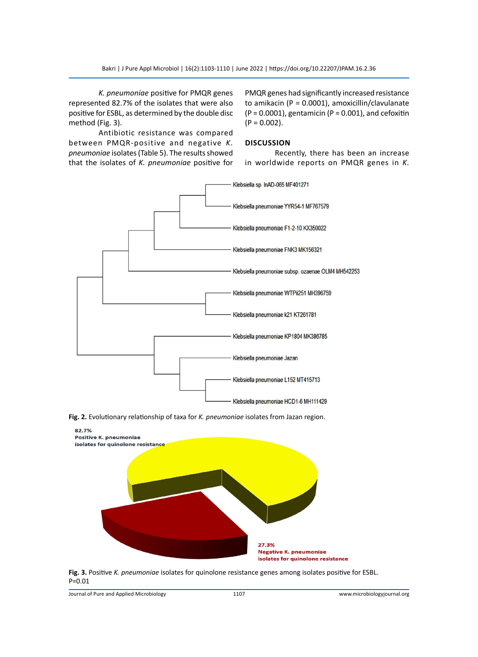*K. pneumoniae* positive for PMQR genes represented 82.7% of the isolates that were also positive for ESBL, as determined by the double disc method (Fig. 3).

PMQR genes had significantly increased resistance to amikacin (P = 0.0001), amoxicillin/clavulanate  $(P = 0.0001)$ , gentamicin  $(P = 0.001)$ , and cefoxitin  $(P = 0.002)$ .

Antibiotic resistance was compared between PMQR-positive and negative *K. pneumoniae* isolates (Table 5). The results showed that the isolates of *K. pneumoniae* positive for

## **Discussion**

Recently, there has been an increase in worldwide reports on PMQR genes in *K.* 







**Fig. 3.** Positive *K. pneumoniae* isolates for quinolone resistance genes among isolates positive for ESBL. P=0.01

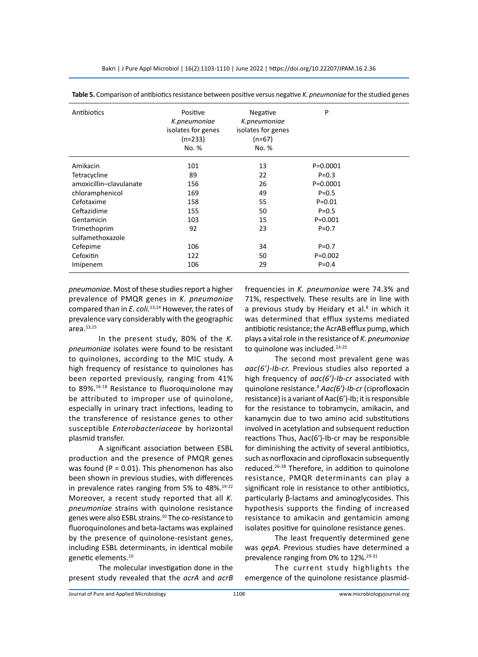| Antibiotics             | Positive<br>K.pneumoniae<br>isolates for genes<br>$(n=233)$<br>No. % | Negative<br>K.pneumoniae<br>isolates for genes<br>$(n=67)$<br>No. % | P            |  |
|-------------------------|----------------------------------------------------------------------|---------------------------------------------------------------------|--------------|--|
| Amikacin                | 101                                                                  | 13                                                                  | $P = 0.0001$ |  |
| Tetracycline            | 89                                                                   | 22                                                                  | $P = 0.3$    |  |
| amoxicillin-clavulanate | 156                                                                  | 26                                                                  | $P = 0.0001$ |  |
| chloramphenicol         | 169                                                                  | 49                                                                  | $P = 0.5$    |  |
| Cefotaxime              | 158                                                                  | 55                                                                  | $P = 0.01$   |  |
| Ceftazidime             | 155                                                                  | 50                                                                  | $P = 0.5$    |  |
| Gentamicin              | 103                                                                  | 15                                                                  | $P = 0.001$  |  |
| Trimethoprim            | 92                                                                   | 23                                                                  | $P = 0.7$    |  |
| sulfamethoxazole        |                                                                      |                                                                     |              |  |
| Cefepime                | 106                                                                  | 34                                                                  | $P = 0.7$    |  |
| Cefoxitin               | 122                                                                  | 50                                                                  | $P=0.002$    |  |
| Imipenem                | 106                                                                  | 29                                                                  | $P = 0.4$    |  |

**Table 5.** Comparison of antibiotics resistance between positive versus negative *K. pneumoniae* for the studied genes

*pneumoniae*. Most of these studies report a higher prevalence of PMQR genes in *K. pneumoniae* compared than in *E. coli.*13,14 However, the rates of prevalence vary considerably with the geographic area. $13,15$ 

In the present study, 80% of the *K. pneumoniae* isolates were found to be resistant to quinolones, according to the MIC study. A high frequency of resistance to quinolones has been reported previously, ranging from 41% to 89%.<sup>16-18</sup> Resistance to fluoroquinolone may be attributed to improper use of quinolone, especially in urinary tract infections, leading to the transference of resistance genes to other susceptible *Enterobacteriaceae* by horizontal plasmid transfer.

A significant association between ESBL production and the presence of PMQR genes was found ( $P = 0.01$ ). This phenomenon has also been shown in previous studies, with differences in prevalence rates ranging from 5% to 48%.<sup>19-22</sup> Moreover, a recent study reported that all *K. pneumoniae* strains with quinolone resistance genes were also ESBL strains.10 The co-resistance to fluoroquinolones and beta-lactams was explained by the presence of quinolone-resistant genes, including ESBL determinants, in identical mobile genetic elements.<sup>10</sup>

The molecular investigation done in the present study revealed that the *acrA* and *acrB*  frequencies in *K. pneumoniae* were 74.3% and 71%, respectively. These results are in line with a previous study by Heidary et al.<sup>8</sup> in which it was determined that efflux systems mediated antibiotic resistance; the AcrAB efflux pump, which plays a vital role in the resistance of *K. pneumoniae* to quinolone was included.<sup>23-25</sup>

The second most prevalent gene was *aac(6')-Ib-cr.* Previous studies also reported a high frequency of *aac(6')-Ib-cr* associated with quinolone resistance.8 *Aac(6′)-Ib-cr* (ciprofloxacin resistance) is a variant of Aac(6')-Ib; it is responsible for the resistance to tobramycin, amikacin, and kanamycin due to two amino acid substitutions involved in acetylation and subsequent reduction reactions Thus, Aac(6′)-Ib-cr may be responsible for diminishing the activity of several antibiotics, such as norfloxacin and ciprofloxacin subsequently reduced.26-28 Therefore, in addition to quinolone resistance, PMQR determinants can play a significant role in resistance to other antibiotics, particularly β-lactams and aminoglycosides. This hypothesis supports the finding of increased resistance to amikacin and gentamicin among isolates positive for quinolone resistance genes.

The least frequently determined gene was *qepA.* Previous studies have determined a prevalence ranging from 0% to 12%.<sup>29-31</sup>

The current study highlights the emergence of the quinolone resistance plasmid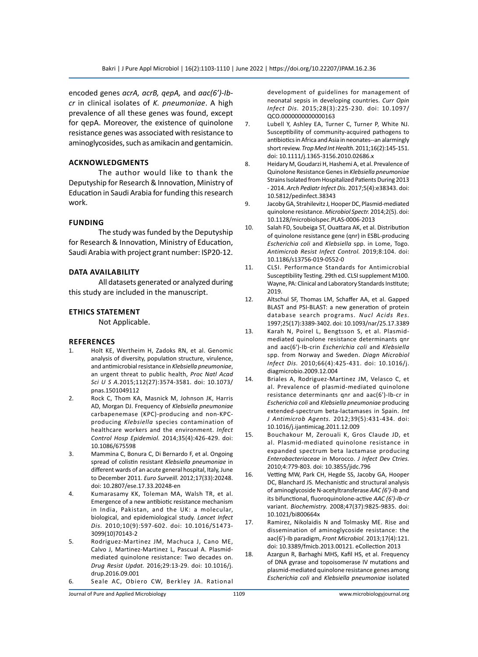encoded genes *acrA, acrB, qepA,* and *aac(6')-Ibcr* in clinical isolates of *K. pneumoniae*. A high prevalence of all these genes was found, except for qepA. Moreover, the existence of quinolone resistance genes was associated with resistance to aminoglycosides, such as amikacin and gentamicin.

## **Acknowledgments**

The author would like to thank the Deputyship for Research & Innovation, Ministry of Education in Saudi Arabia for funding this research work.

#### **Funding**

The study was funded by the Deputyship for Research & Innovation, Ministry of Education, Saudi Arabia with project grant number: ISP20-12.

### **Data Availability**

All datasets generated or analyzed during this study are included in the manuscript.

# **Ethics Statement**

Not Applicable.

## **References**

- 1. Holt KE, Wertheim H, Zadoks RN, et al. Genomic analysis of diversity, population structure, virulence, and antimicrobial resistance in *Klebsiella pneumoniae*, an urgent threat to public health, *Proc Natl Acad Sci U S A.*2015;112(27):3574-3581. doi: 10.1073/ pnas.1501049112
- 2. Rock C, Thom KA, Masnick M, Johnson JK, Harris AD, Morgan DJ. Frequency of *Klebsiella pneumoniae* carbapenemase (KPC)-producing and non-KPCproducing *Klebsiella* species contamination of healthcare workers and the environment. *Infect Control Hosp Epidemiol.* 2014;35(4):426-429. doi: 10.1086/675598
- 3. Mammina C, Bonura C, Di Bernardo F, et al. Ongoing spread of colistin resistant *Klebsiella pneumoniae* in different wards of an acute general hospital, Italy, June to December 2011. *Euro Surveill.* 2012;17(33):20248. doi: 10.2807/ese.17.33.20248-en
- 4. Kumarasamy KK, Toleman MA, Walsh TR, et al. Emergence of a new antibiotic resistance mechanism in India, Pakistan, and the UK: a molecular, biological, and epidemiological study. *Lancet Infect Dis.* 2010;10(9):597-602. doi: 10.1016/S1473- 3099(10)70143-2
- 5. Rodriguez-Martinez JM, Machuca J, Cano ME, Calvo J, Martinez-Martinez L, Pascual A. Plasmidmediated quinolone resistance: Two decades on. *Drug Resist Updat.* 2016;29:13-29. doi: 10.1016/j. drup.2016.09.001
- 6. Seale AC, Obiero CW, Berkley JA. Rational

development of guidelines for management of neonatal sepsis in developing countries. *Curr Opin Infect Dis.* 2015;28(3):225-230. doi: 10.1097/ QCO.0000000000000163

- 7. Lubell Y, Ashley EA, Turner C, Turner P, White NJ. Susceptibility of community-acquired pathogens to antibiotics in Africa and Asia in neonates--an alarmingly short review. *Trop Med Int Health.* 2011;16(2):145-151. doi: 10.1111/j.1365-3156.2010.02686.x
- 8. Heidary M, Goudarzi H, Hashemi A, et al. Prevalence of Quinolone Resistance Genes in *Klebsiella pneumoniae* Strains Isolated from Hospitalized Patients During 2013 - 2014. *Arch Pediatr Infect Dis.* 2017;5(4):e38343. doi: 10.5812/pedinfect.38343
- 9. Jacoby GA, Strahilevitz J, Hooper DC, Plasmid-mediated quinolone resistance. *Microbiol Spectr.* 2014;2(5). doi: 10.1128/microbiolspec.PLAS-0006-2013
- 10. Salah FD, Soubeiga ST, Ouattara AK, et al. Distribution of quinolone resistance gene (qnr) in ESBL-producing *Escherichia coli* and *Klebsiella* spp. in Lome, Togo. *Antimicrob Resist Infect Control.* 2019;8:104. doi: 10.1186/s13756-019-0552-0
- 11. CLSI. Performance Standards for Antimicrobial Susceptibility Testing. 29th ed. CLSI supplement M100. Wayne, PA: Clinical and Laboratory Standards Institute; 2019.
- 12. Altschul SF, Thomas LM, Schaffer AA, et al. Gapped BLAST and PSI-BLAST: a new generation of protein database search programs. *Nucl Acids Res.* 1997;25(17):3389-3402. doi: 10.1093/nar/25.17.3389
- 13. Karah N, Poirel L, Bengtsson S, et al. Plasmidmediated quinolone resistance determinants qnr and aac(6')-Ib-crin *Escherichia coli* and *Klebsiella* spp. from Norway and Sweden. *Diagn Microbiol Infect Dis.* 2010;66(4):425-431. doi: 10.1016/j. diagmicrobio.2009.12.004
- 14. Briales A, Rodriguez-Martinez JM, Velasco C, et al. Prevalence of plasmid-mediated quinolone resistance determinants qnr and aac(6')-Ib-cr in *Escherichia coli* and *Klebsiella pneumoniae* producing extended-spectrum beta-lactamases in Spain. *Int J Antimicrob Agents.* 2012;39(5):431-434. doi: 10.1016/j.ijantimicag.2011.12.009
- 15. Bouchakour M, Zerouali K, Gros Claude JD, et al. Plasmid-mediated quinolone resistance in expanded spectrum beta lactamase producing *Enterobacteriaceae* in Morocco. *J Infect Dev Ctries.* 2010;4:779-803. doi: 10.3855/jidc.796
- 16. Vetting MW, Park CH, Hegde SS, Jacoby GA, Hooper DC, Blanchard JS. Mechanistic and structural analysis of aminoglycoside N-acetyltransferase *AAC (6')-Ib* and its bifunctional, fluoroquinolone-active *AAC (6')-Ib-cr*  variant. *Biochemistry.* 2008;47(37):9825-9835. doi: 10.1021/bi800664x
- 17. Ramirez, Nikolaidis N and Tolmasky ME. Rise and dissemination of aminoglycoside resistance: the aac(6')-Ib paradigm, *Front Microbiol.* 2013;17(4):121. doi: 10.3389/fmicb.2013.00121. eCollection 2013
- 18. Azargun R, Barhaghi MHS, Kafil HS, et al. Frequency of DNA gyrase and topoisomerase IV mutations and plasmid-mediated quinolone resistance genes among *Escherichia coli* and *Klebsiella pneumoniae* isolated